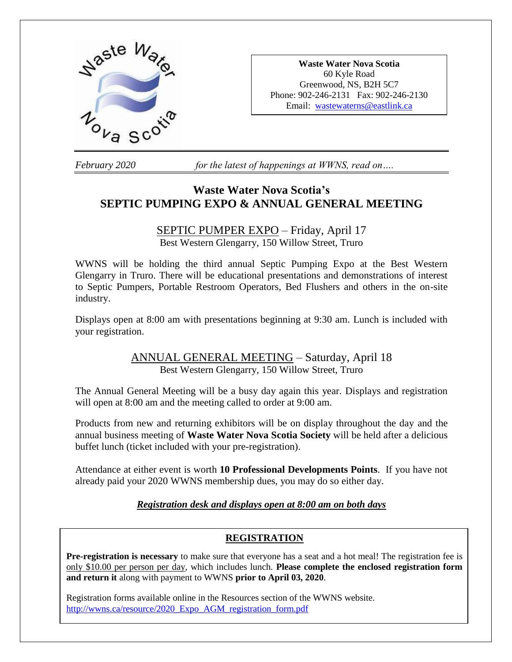

**Waste Water Nova Scotia** 60 Kyle Road Greenwood, NS, B2H 5C7 Phone: 902-246-2131 Fax: 902-246-2130 Email: [wastewaterns@eastlink.ca](mailto:wastewaterns@eastlink.ca)

*February 2020 for the latest of happenings at WWNS, read on….*

# **Waste Water Nova Scotia's SEPTIC PUMPING EXPO & ANNUAL GENERAL MEETING**

# SEPTIC PUMPER EXPO – Friday, April 17

Best Western Glengarry, 150 Willow Street, Truro

WWNS will be holding the third annual Septic Pumping Expo at the Best Western Glengarry in Truro. There will be educational presentations and demonstrations of interest to Septic Pumpers, Portable Restroom Operators, Bed Flushers and others in the on-site industry.

Displays open at 8:00 am with presentations beginning at 9:30 am. Lunch is included with your registration.

# ANNUAL GENERAL MEETING – Saturday, April 18 Best Western Glengarry, 150 Willow Street, Truro

The Annual General Meeting will be a busy day again this year. Displays and registration will open at 8:00 am and the meeting called to order at 9:00 am.

Products from new and returning exhibitors will be on display throughout the day and the annual business meeting of **Waste Water Nova Scotia Society** will be held after a delicious buffet lunch (ticket included with your pre-registration).

Attendance at either event is worth **10 Professional Developments Points**. If you have not already paid your 2020 WWNS membership dues, you may do so either day.

## *Registration desk and displays open at 8:00 am on both days*

## **REGISTRATION**

**Pre-registration is necessary** to make sure that everyone has a seat and a hot meal! The registration fee is only \$10.00 per person per day, which includes lunch. **Please complete the enclosed registration form and return it** along with payment to WWNS **prior to April 03, 2020**.

Registration forms available online in the Resources section of the WWNS website. [http://wwns.ca/resource/2020\\_Expo\\_AGM\\_registration\\_form.pdf](http://wwns.ca/resource/2020_Expo_AGM_registration_form.pdf)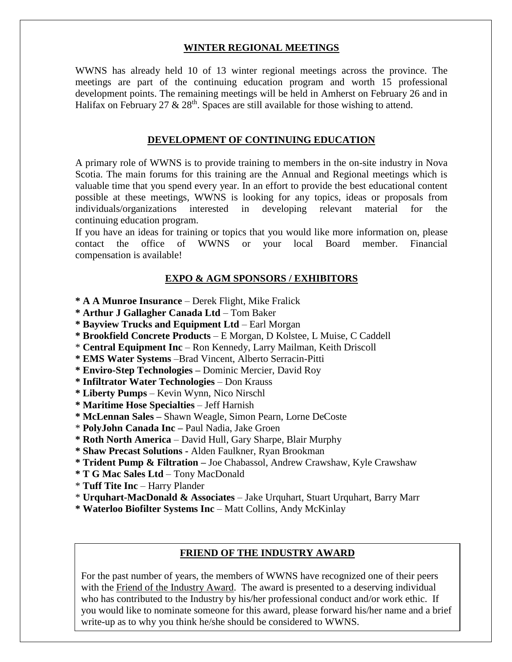#### **WINTER REGIONAL MEETINGS**

WWNS has already held 10 of 13 winter regional meetings across the province. The meetings are part of the continuing education program and worth 15 professional development points. The remaining meetings will be held in Amherst on February 26 and in Halifax on February 27  $\&$  28<sup>th</sup>. Spaces are still available for those wishing to attend.

#### **DEVELOPMENT OF CONTINUING EDUCATION**

A primary role of WWNS is to provide training to members in the on-site industry in Nova Scotia. The main forums for this training are the Annual and Regional meetings which is valuable time that you spend every year. In an effort to provide the best educational content possible at these meetings, WWNS is looking for any topics, ideas or proposals from individuals/organizations interested in developing relevant material for the continuing education program.

If you have an ideas for training or topics that you would like more information on, please contact the office of WWNS or your local Board member. Financial compensation is available!

#### **EXPO & AGM SPONSORS / EXHIBITORS**

- **\* A A Munroe Insurance**  Derek Flight, Mike Fralick
- **\* Arthur J Gallagher Canada Ltd** Tom Baker
- **\* Bayview Trucks and Equipment Ltd**  Earl Morgan
- **\* Brookfield Concrete Products**  E Morgan, D Kolstee, L Muise, C Caddell
- \* **Central Equipment Inc** Ron Kennedy, Larry Mailman, Keith Driscoll
- **\* EMS Water Systems** –Brad Vincent, Alberto Serracin-Pitti
- **\* Enviro-Step Technologies –** Dominic Mercier, David Roy
- **\* Infiltrator Water Technologies** Don Krauss
- **\* Liberty Pumps**  Kevin Wynn, Nico Nirschl
- **\* Maritime Hose Specialties** Jeff Harnish
- **\* McLennan Sales –** Shawn Weagle, Simon Pearn, Lorne DeCoste
- \* **PolyJohn Canada Inc –** Paul Nadia, Jake Groen
- **\* Roth North America**  David Hull, Gary Sharpe, Blair Murphy
- **\* Shaw Precast Solutions -** Alden Faulkner, Ryan Brookman
- **\* Trident Pump & Filtration –** Joe Chabassol, Andrew Crawshaw, Kyle Crawshaw
- **\* T G Mac Sales Ltd** Tony MacDonald
- \* **Tuff Tite Inc** Harry Plander
- \* **Urquhart-MacDonald & Associates** Jake Urquhart, Stuart Urquhart, Barry Marr
- **\* Waterloo Biofilter Systems Inc** Matt Collins, Andy McKinlay

#### **FRIEND OF THE INDUSTRY AWARD**

For the past number of years, the members of WWNS have recognized one of their peers with the Friend of the Industry Award. The award is presented to a deserving individual who has contributed to the Industry by his/her professional conduct and/or work ethic. If you would like to nominate someone for this award, please forward his/her name and a brief write-up as to why you think he/she should be considered to WWNS.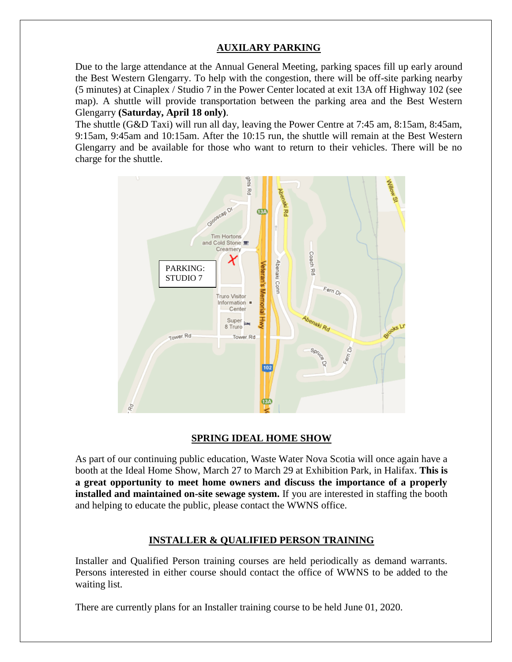## **AUXILARY PARKING**

Due to the large attendance at the Annual General Meeting, parking spaces fill up early around the Best Western Glengarry. To help with the congestion, there will be off-site parking nearby (5 minutes) at Cinaplex / Studio 7 in the Power Center located at exit 13A off Highway 102 (see map). A shuttle will provide transportation between the parking area and the Best Western Glengarry **(Saturday, April 18 only)**.

The shuttle (G&D Taxi) will run all day, leaving the Power Centre at 7:45 am, 8:15am, 8:45am, 9:15am, 9:45am and 10:15am. After the 10:15 run, the shuttle will remain at the Best Western Glengarry and be available for those who want to return to their vehicles. There will be no charge for the shuttle.



#### **SPRING IDEAL HOME SHOW**

As part of our continuing public education, Waste Water Nova Scotia will once again have a booth at the Ideal Home Show, March 27 to March 29 at Exhibition Park, in Halifax. **This is a great opportunity to meet home owners and discuss the importance of a properly installed and maintained on-site sewage system.** If you are interested in staffing the booth and helping to educate the public, please contact the WWNS office.

## **INSTALLER & QUALIFIED PERSON TRAINING**

Installer and Qualified Person training courses are held periodically as demand warrants. Persons interested in either course should contact the office of WWNS to be added to the waiting list.

There are currently plans for an Installer training course to be held June 01, 2020.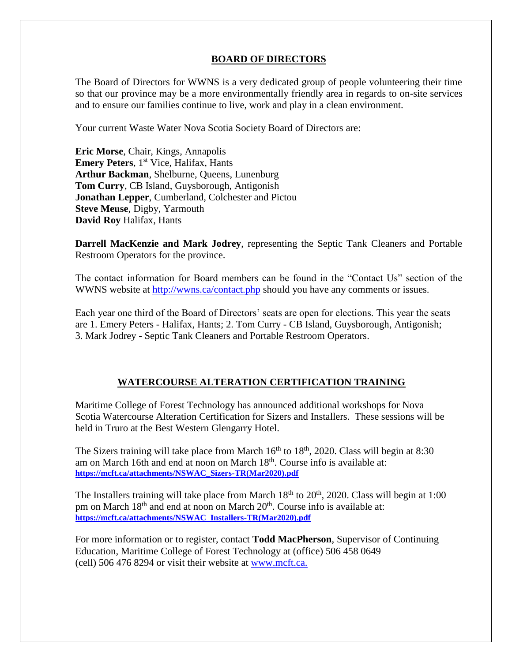### **BOARD OF DIRECTORS**

The Board of Directors for WWNS is a very dedicated group of people volunteering their time so that our province may be a more environmentally friendly area in regards to on-site services and to ensure our families continue to live, work and play in a clean environment.

Your current Waste Water Nova Scotia Society Board of Directors are:

**Eric Morse**, Chair, Kings, Annapolis **Emery Peters**, 1<sup>st</sup> Vice, Halifax, Hants **Arthur Backman**, Shelburne, Queens, Lunenburg **Tom Curry**, CB Island, Guysborough, Antigonish **Jonathan Lepper**, Cumberland, Colchester and Pictou **Steve Meuse**, Digby, Yarmouth **David Roy** Halifax, Hants

**Darrell MacKenzie and Mark Jodrey**, representing the Septic Tank Cleaners and Portable Restroom Operators for the province.

The contact information for Board members can be found in the "Contact Us" section of the WWNS website at<http://wwns.ca/contact.php> should you have any comments or issues.

Each year one third of the Board of Directors' seats are open for elections. This year the seats are 1. Emery Peters - Halifax, Hants; 2. Tom Curry - CB Island, Guysborough, Antigonish; 3. Mark Jodrey - Septic Tank Cleaners and Portable Restroom Operators.

## **WATERCOURSE ALTERATION CERTIFICATION TRAINING**

Maritime College of Forest Technology has announced additional workshops for Nova Scotia Watercourse Alteration Certification for Sizers and Installers. These sessions will be held in Truro at the Best Western Glengarry Hotel.

The Sizers training will take place from March  $16<sup>th</sup>$  to  $18<sup>th</sup>$ , 2020. Class will begin at 8:30 am on March 16th and end at noon on March  $18<sup>th</sup>$ . Course info is available at: **[https://mcft.ca/attachments/NSWAC\\_Sizers-TR\(Mar2020\).pdf](https://mcft.ca/attachments/NSWAC_Sizers-TR(Mar2020).pdf)**

The Installers training will take place from March  $18<sup>th</sup>$  to  $20<sup>th</sup>$ , 2020. Class will begin at 1:00 pm on March 18<sup>th</sup> and end at noon on March 20<sup>th</sup>. Course info is available at: **[https://mcft.ca/attachments/NSWAC\\_Installers-TR\(Mar2020\).pdf](https://mcft.ca/attachments/NSWAC_Installers-TR(Mar2020).pdf)**

For more information or to register, contact **Todd MacPherson**, Supervisor of Continuing Education, Maritime College of Forest Technology at (office) 506 458 0649 (cell) 506 476 8294 or visit their website at [www.mcft.ca.](http://mcft.ca/en/continuing-education/upcoming-courses)